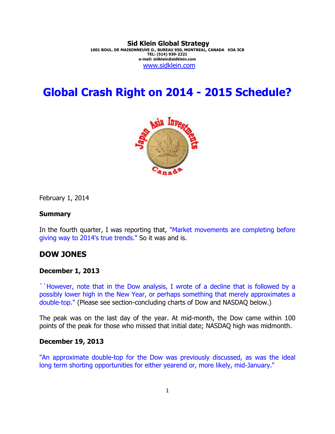#### **Sid Klein Global Strategy 1001 BOUL. DE MAISONNEUVE O., BUREAU 950, MONTREAL, CANADA H3A 3C8 TEL: (514) 939-2221 e-mail: sidklein@sidklein.com**  www.sidklein.com

# **Global Crash Right on 2014 - 2015 Schedule?**



February 1, 2014

#### **Summary**

In the fourth quarter, I was reporting that, "Market movements are completing before giving way to 2014's true trends." So it was and is.

## **DOW JONES**

#### **December 1, 2013**

``However, note that in the Dow analysis, I wrote of a decline that is followed by a possibly lower high in the New Year, or perhaps something that merely approximates a double-top." (Please see section-concluding charts of Dow and NASDAQ below.)

The peak was on the last day of the year. At mid-month, the Dow came within 100 points of the peak for those who missed that initial date; NASDAQ high was midmonth.

### **December 19, 2013**

"An approximate double-top for the Dow was previously discussed, as was the ideal long term shorting opportunities for either yearend or, more likely, mid-January."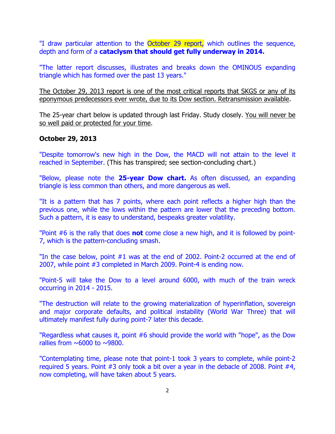"I draw particular attention to the October 29 report, which outlines the sequence, depth and form of a **cataclysm that should get fully underway in 2014.**

"The latter report discusses, illustrates and breaks down the OMINOUS expanding triangle which has formed over the past 13 years."

The October 29, 2013 report is one of the most critical reports that SKGS or any of its eponymous predecessors ever wrote, due to its Dow section. Retransmission available.

The 25-year chart below is updated through last Friday. Study closely. You will never be so well paid or protected for your time.

## **October 29, 2013**

"Despite tomorrow's new high in the Dow, the MACD will not attain to the level it reached in September. (This has transpired; see section-concluding chart.)

"Below, please note the **25-year Dow chart.** As often discussed, an expanding triangle is less common than others, and more dangerous as well.

"It is a pattern that has 7 points, where each point reflects a higher high than the previous one, while the lows within the pattern are lower that the preceding bottom. Such a pattern, it is easy to understand, bespeaks greater volatility.

"Point #6 is the rally that does **not** come close a new high, and it is followed by point-7, which is the pattern-concluding smash.

"In the case below, point #1 was at the end of 2002. Point-2 occurred at the end of 2007, while point #3 completed in March 2009. Point-4 is ending now.

"Point-5 will take the Dow to a level around 6000, with much of the train wreck occurring in 2014 - 2015.

"The destruction will relate to the growing materialization of hyperinflation, sovereign and major corporate defaults, and political instability (World War Three) that will ultimately manifest fully during point-7 later this decade.

"Regardless what causes it, point #6 should provide the world with "hope", as the Dow rallies from  $\sim 6000$  to  $\sim 9800$ .

"Contemplating time, please note that point-1 took 3 years to complete, while point-2 required 5 years. Point #3 only took a bit over a year in the debacle of 2008. Point #4, now completing, will have taken about 5 years.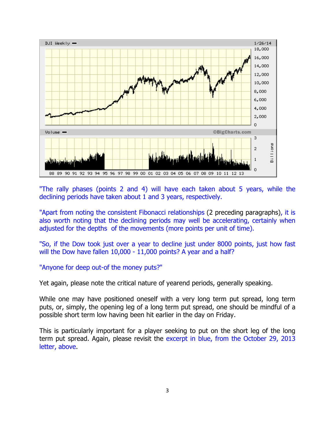

"The rally phases (points 2 and 4) will have each taken about 5 years, while the declining periods have taken about 1 and 3 years, respectively.

"Apart from noting the consistent Fibonacci relationships (2 preceding paragraphs), it is also worth noting that the declining periods may well be accelerating, certainly when adjusted for the depths of the movements (more points per unit of time).

"So, if the Dow took just over a year to decline just under 8000 points, just how fast will the Dow have fallen 10,000 - 11,000 points? A year and a half?

### "Anyone for deep out-of the money puts?"

Yet again, please note the critical nature of yearend periods, generally speaking.

While one may have positioned oneself with a very long term put spread, long term puts, or, simply, the opening leg of a long term put spread, one should be mindful of a possible short term low having been hit earlier in the day on Friday.

This is particularly important for a player seeking to put on the short leg of the long term put spread. Again, please revisit the excerpt in blue, from the October 29, 2013 letter, above.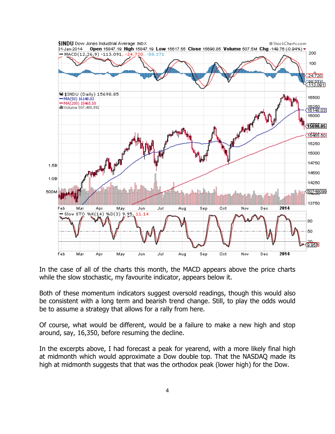

In the case of all of the charts this month, the MACD appears above the price charts while the slow stochastic, my favourite indicator, appears below it.

Both of these momentum indicators suggest oversold readings, though this would also be consistent with a long term and bearish trend change. Still, to play the odds would be to assume a strategy that allows for a rally from here.

Of course, what would be different, would be a failure to make a new high and stop around, say, 16,350, before resuming the decline.

In the excerpts above, I had forecast a peak for yearend, with a more likely final high at midmonth which would approximate a Dow double top. That the NASDAQ made its high at midmonth suggests that that was the orthodox peak (lower high) for the Dow.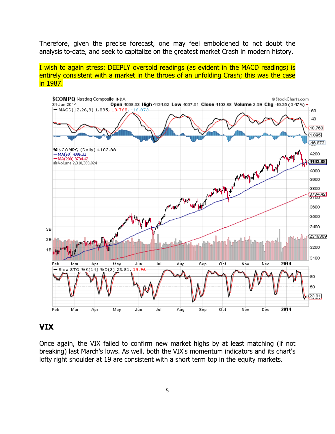Therefore, given the precise forecast, one may feel emboldened to not doubt the analysis to-date, and seek to capitalize on the greatest market Crash in modern history.

I wish to again stress: DEEPLY oversold readings (as evident in the MACD readings) is entirely consistent with a market in the throes of an unfolding Crash; this was the case in 1987.



## **VIX**

Once again, the VIX failed to confirm new market highs by at least matching (if not breaking) last March's lows. As well, both the VIX's momentum indicators and its chart's lofty right shoulder at 19 are consistent with a short term top in the equity markets.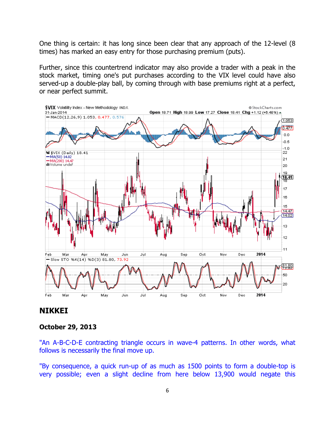One thing is certain: it has long since been clear that any approach of the 12-level (8 times) has marked an easy entry for those purchasing premium (puts).

Further, since this countertrend indicator may also provide a trader with a peak in the stock market, timing one's put purchases according to the VIX level could have also served-up a double-play ball, by coming through with base premiums right at a perfect, or near perfect summit.



## **NIKKEI**

#### **October 29, 2013**

"An A-B-C-D-E contracting triangle occurs in wave-4 patterns. In other words, what follows is necessarily the final move up.

"By consequence, a quick run-up of as much as 1500 points to form a double-top is very possible; even a slight decline from here below 13,900 would negate this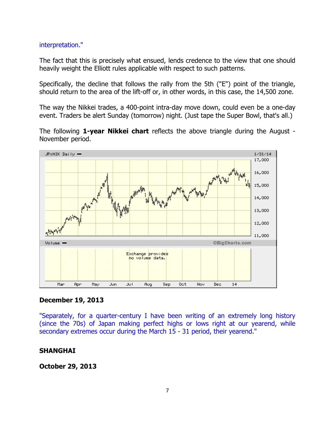#### interpretation."

The fact that this is precisely what ensued, lends credence to the view that one should heavily weight the Elliott rules applicable with respect to such patterns.

Specifically, the decline that follows the rally from the 5th ("E") point of the triangle, should return to the area of the lift-off or, in other words, in this case, the 14,500 zone.

The way the Nikkei trades, a 400-point intra-day move down, could even be a one-day event. Traders be alert Sunday (tomorrow) night. (Just tape the Super Bowl, that's all.)

The following **1-year Nikkei chart** reflects the above triangle during the August - November period.



### **December 19, 2013**

"Separately, for a quarter-century I have been writing of an extremely long history (since the 70s) of Japan making perfect highs or lows right at our yearend, while secondary extremes occur during the March 15 - 31 period, their yearend."

### **SHANGHAI**

**October 29, 2013**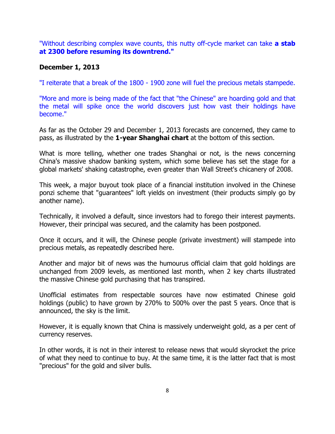"Without describing complex wave counts, this nutty off-cycle market can take **a stab at 2300 before resuming its downtrend."** 

## **December 1, 2013**

"I reiterate that a break of the 1800 - 1900 zone will fuel the precious metals stampede.

"More and more is being made of the fact that "the Chinese" are hoarding gold and that the metal will spike once the world discovers just how vast their holdings have become."

As far as the October 29 and December 1, 2013 forecasts are concerned, they came to pass, as illustrated by the **1-year Shanghai chart** at the bottom of this section.

What is more telling, whether one trades Shanghai or not, is the news concerning China's massive shadow banking system, which some believe has set the stage for a global markets' shaking catastrophe, even greater than Wall Street's chicanery of 2008.

This week, a major buyout took place of a financial institution involved in the Chinese ponzi scheme that "guarantees" loft yields on investment (their products simply go by another name).

Technically, it involved a default, since investors had to forego their interest payments. However, their principal was secured, and the calamity has been postponed.

Once it occurs, and it will, the Chinese people (private investment) will stampede into precious metals, as repeatedly described here.

Another and major bit of news was the humourus official claim that gold holdings are unchanged from 2009 levels, as mentioned last month, when 2 key charts illustrated the massive Chinese gold purchasing that has transpired.

Unofficial estimates from respectable sources have now estimated Chinese gold holdings (public) to have grown by 270% to 500% over the past 5 years. Once that is announced, the sky is the limit.

However, it is equally known that China is massively underweight gold, as a per cent of currency reserves.

In other words, it is not in their interest to release news that would skyrocket the price of what they need to continue to buy. At the same time, it is the latter fact that is most "precious" for the gold and silver bulls.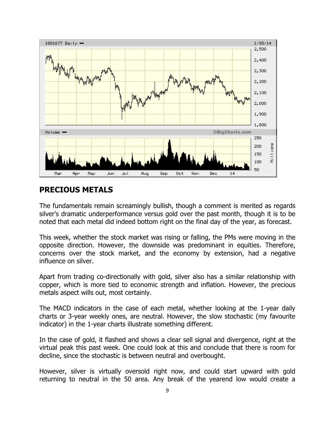

## **PRECIOUS METALS**

The fundamentals remain screamingly bullish, though a comment is merited as regards silver's dramatic underperformance versus gold over the past month, though it is to be noted that each metal did indeed bottom right on the final day of the year, as forecast.

This week, whether the stock market was rising or falling, the PMs were moving in the opposite direction. However, the downside was predominant in equities. Therefore, concerns over the stock market, and the economy by extension, had a negative influence on silver.

Apart from trading co-directionally with gold, silver also has a similar relationship with copper, which is more tied to economic strength and inflation. However, the precious metals aspect wills out, most certainly.

The MACD indicators in the case of each metal, whether looking at the 1-year daily charts or 3-year weekly ones, are neutral. However, the slow stochastic (my favourite indicator) in the 1-year charts illustrate something different.

In the case of gold, it flashed and shows a clear sell signal and divergence, right at the virtual peak this past week. One could look at this and conclude that there is room for decline, since the stochastic is between neutral and overbought.

However, silver is virtually oversold right now, and could start upward with gold returning to neutral in the 50 area. Any break of the yearend low would create a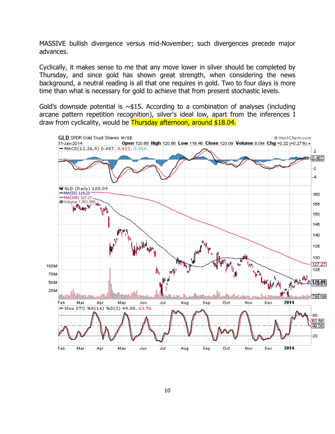MASSIVE bullish divergence versus mid-November; such divergences precede major advances.

Cyclically, it makes sense to me that any move lower in silver should be completed by Thursday, and since gold has shown great strength, when considering the news background, a neutral reading is all that one requires in gold. Two to four days is more time than what is necessary for gold to achieve that from present stochastic levels.

Gold's downside potential is  $\sim$ \$15. According to a combination of analyses (including arcane pattern repetition recognition), silver's ideal low, apart from the inferences I draw from cyclicality, would be Thursday afternoon, around \$18.04.

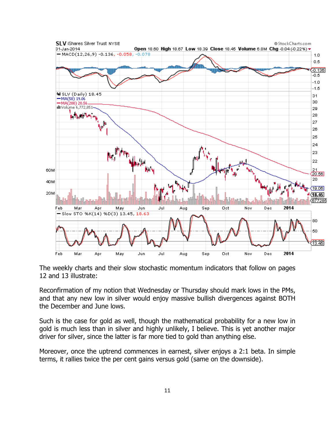

The weekly charts and their slow stochastic momentum indicators that follow on pages 12 and 13 illustrate:

Reconfirmation of my notion that Wednesday or Thursday should mark lows in the PMs, and that any new low in silver would enjoy massive bullish divergences against BOTH the December and June lows.

Such is the case for gold as well, though the mathematical probability for a new low in gold is much less than in silver and highly unlikely, I believe. This is yet another major driver for silver, since the latter is far more tied to gold than anything else.

Moreover, once the uptrend commences in earnest, silver enjoys a 2:1 beta. In simple terms, it rallies twice the per cent gains versus gold (same on the downside).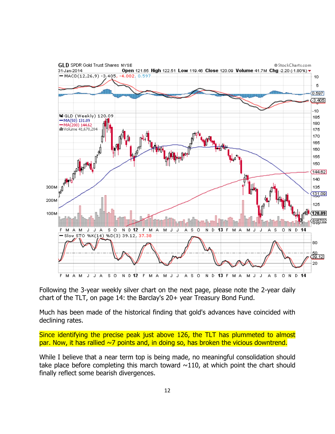

Following the 3-year weekly silver chart on the next page, please note the 2-year daily chart of the TLT, on page 14: the Barclay's 20+ year Treasury Bond Fund.

Much has been made of the historical finding that gold's advances have coincided with declining rates.

Since identifying the precise peak just above 126, the TLT has plummeted to almost par. Now, it has rallied  $\sim$ 7 points and, in doing so, has broken the vicious downtrend.

While I believe that a near term top is being made, no meaningful consolidation should take place before completing this march toward  $\sim$ 110, at which point the chart should finally reflect some bearish divergences.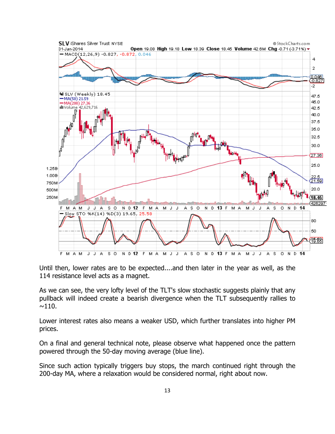

Until then, lower rates are to be expected....and then later in the year as well, as the 114 resistance level acts as a magnet.

As we can see, the very lofty level of the TLT's slow stochastic suggests plainly that any pullback will indeed create a bearish divergence when the TLT subsequently rallies to  $\sim$ 110.

Lower interest rates also means a weaker USD, which further translates into higher PM prices.

On a final and general technical note, please observe what happened once the pattern powered through the 50-day moving average (blue line).

Since such action typically triggers buy stops, the march continued right through the 200-day MA, where a relaxation would be considered normal, right about now.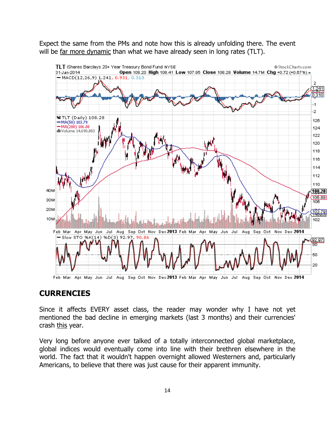Expect the same from the PMs and note how this is already unfolding there. The event will be far more dynamic than what we have already seen in long rates (TLT).



## **CURRENCIES**

Since it affects EVERY asset class, the reader may wonder why I have not yet mentioned the bad decline in emerging markets (last 3 months) and their currencies' crash this year.

Very long before anyone ever talked of a totally interconnected global marketplace, global indices would eventually come into line with their brethren elsewhere in the world. The fact that it wouldn't happen overnight allowed Westerners and, particularly Americans, to believe that there was just cause for their apparent immunity.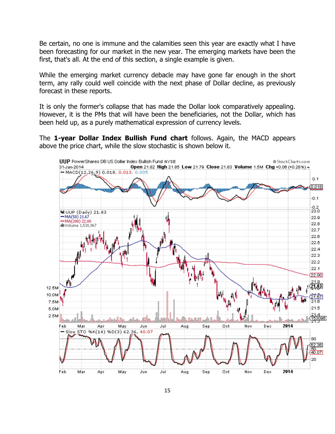Be certain, no one is immune and the calamities seen this year are exactly what I have been forecasting for our market in the new year. The emerging markets have been the first, that's all. At the end of this section, a single example is given.

While the emerging market currency debacle may have gone far enough in the short term, any rally could well coincide with the next phase of Dollar decline, as previously forecast in these reports.

It is only the former's collapse that has made the Dollar look comparatively appealing. However, it is the PMs that will have been the beneficiaries, not the Dollar, which has been held up, as a purely mathematical expression of currency levels.

The **1-year Dollar Index Bullish Fund chart** follows. Again, the MACD appears above the price chart, while the slow stochastic is shown below it.

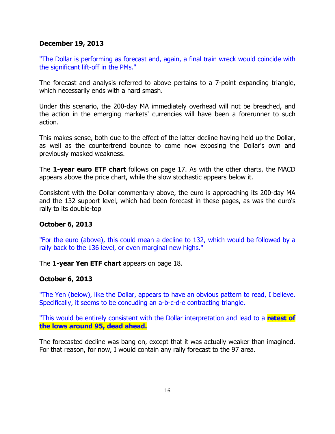## **December 19, 2013**

"The Dollar is performing as forecast and, again, a final train wreck would coincide with the significant lift-off in the PMs."

The forecast and analysis referred to above pertains to a 7-point expanding triangle, which necessarily ends with a hard smash.

Under this scenario, the 200-day MA immediately overhead will not be breached, and the action in the emerging markets' currencies will have been a forerunner to such action.

This makes sense, both due to the effect of the latter decline having held up the Dollar, as well as the countertrend bounce to come now exposing the Dollar's own and previously masked weakness.

The **1-year euro ETF chart** follows on page 17. As with the other charts, the MACD appears above the price chart, while the slow stochastic appears below it.

Consistent with the Dollar commentary above, the euro is approaching its 200-day MA and the 132 support level, which had been forecast in these pages, as was the euro's rally to its double-top

## **October 6, 2013**

"For the euro (above), this could mean a decline to 132, which would be followed by a rally back to the 136 level, or even marginal new highs."

The **1-year Yen ETF chart** appears on page 18.

## **October 6, 2013**

"The Yen (below), like the Dollar, appears to have an obvious pattern to read, I believe. Specifically, it seems to be concuding an a-b-c-d-e contracting triangle.

"This would be entirely consistent with the Dollar interpretation and lead to a **retest of the lows around 95, dead ahead.** 

The forecasted decline was bang on, except that it was actually weaker than imagined. For that reason, for now, I would contain any rally forecast to the 97 area.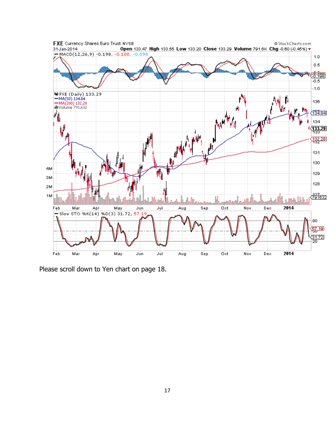

Please scroll down to Yen chart on page 18.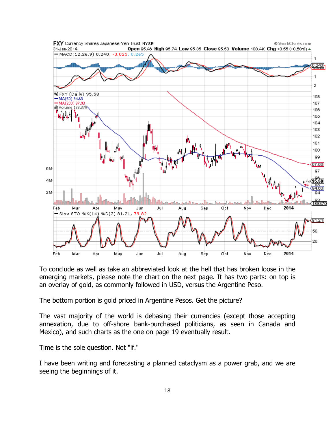

To conclude as well as take an abbreviated look at the hell that has broken loose in the emerging markets, please note the chart on the next page. It has two parts: on top is an overlay of gold, as commonly followed in USD, versus the Argentine Peso.

The bottom portion is gold priced in Argentine Pesos. Get the picture?

The vast majority of the world is debasing their currencies (except those accepting annexation, due to off-shore bank-purchased politicians, as seen in Canada and Mexico), and such charts as the one on page 19 eventually result.

Time is the sole question. Not "if."

I have been writing and forecasting a planned cataclysm as a power grab, and we are seeing the beginnings of it.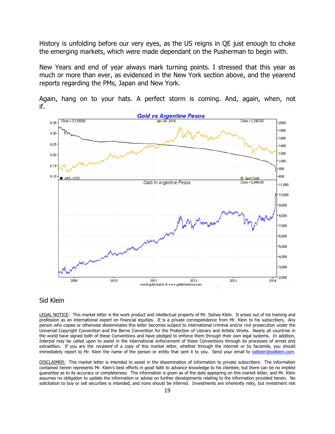History is unfolding before our very eyes, as the US reigns in QE just enough to choke the emerging markets, which were made dependant on the Pusherman to begin with.

New Years and end of year always mark turning points. I stressed that this year as much or more than ever, as evidenced in the New York section above, and the yearend reports regarding the PMs, Japan and New York.



Again, hang on to your hats. A perfect storm is coming. And, again, when, not if.

#### Sid Klein

LEGAL NOTICE: This market letter is the work product and intellectual property of Mr. Sidney Klein. It arises out of his training and profession as an international expert on financial equities. It is a private correspondence from Mr. Klein to his subscribers. Any person who copies or otherwise disseminates this letter becomes subject to international criminal and/or civil prosecution under the Universal Copyright Convention and the Berne Convention for the Protection of Literary and Artistic Works. Nearly all countries in the world have signed both of these Conventions and have pledged to enforce them through their own legal systems. In addition, Interpol may be called upon to assist in the international enforcement of these Conventions through its processes of arrest and extradition. If you are the *recipient* of a copy of this market letter, whether through the internet or by facsimile, you should immediately report to Mr. Klein the name of the person or entity that sent it to you. Send your email to sidklein@sidklein.com.

DISCLAIMER: This market letter is intended to assist in the dissemination of information to private subscribers. The information contained herein represents Mr. Klein's best efforts in good faith to advance knowledge to his clientele, but there can be no implied guarantee as to its accuracy or completeness. The information is given as of the date appearing on this market letter, and Mr. Klein assumes no obligation to update the information or advise on further developments relating to the information provided herein. No solicitation to buy or sell securities is intended, and none should be inferred. Investments are inherently risky, but investment risk